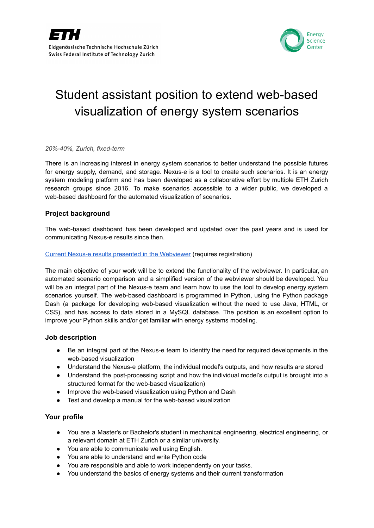



# Student assistant position to extend web-based visualization of energy system scenarios

*20%-40%, Zurich, fixed-term*

There is an increasing interest in energy system scenarios to better understand the possible futures for energy supply, demand, and storage. Nexus-e is a tool to create such scenarios. It is an energy system modeling platform and has been developed as a collaborative effort by multiple ETH Zurich research groups since 2016. To make scenarios accessible to a wider public, we developed a web-based dashboard for the automated visualization of scenarios.

## **Project background**

The web-based dashboard has been developed and updated over the past years and is used for communicating Nexus-e results since then.

## Current Nexus-e results presented in the [Webviewer](https://nexus-e.org/results-flexibility-providers/) (requires registration)

The main objective of your work will be to extend the functionality of the webviewer. In particular, an automated scenario comparison and a simplified version of the webviewer should be developed. You will be an integral part of the Nexus-e team and learn how to use the tool to develop energy system scenarios yourself. The web-based dashboard is programmed in Python, using the Python package Dash (a package for developing web-based visualization without the need to use Java, HTML, or CSS), and has access to data stored in a MySQL database. The position is an excellent option to improve your Python skills and/or get familiar with energy systems modeling.

## **Job description**

- Be an integral part of the Nexus-e team to identify the need for required developments in the web-based visualization
- Understand the Nexus-e platform, the individual model's outputs, and how results are stored
- Understand the post-processing script and how the individual model's output is brought into a structured format for the web-based visualization)
- Improve the web-based visualization using Python and Dash
- Test and develop a manual for the web-based visualization

## **Your profile**

- You are a Master's or Bachelor's student in mechanical engineering, electrical engineering, or a relevant domain at ETH Zurich or a similar university.
- You are able to communicate well using English.
- You are able to understand and write Python code
- You are responsible and able to work independently on your tasks.
- You understand the basics of energy systems and their current transformation